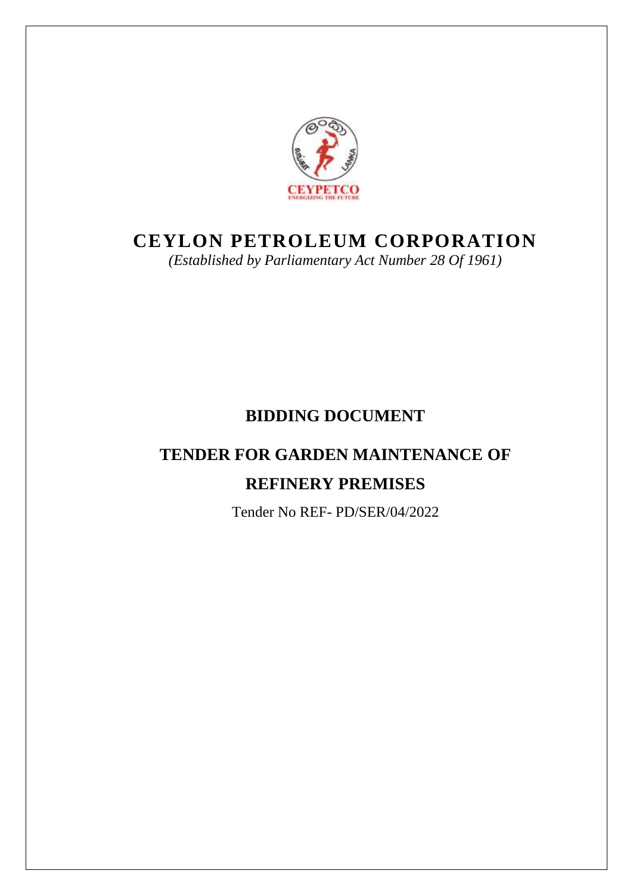

# **CEYLON PETROLEUM CORPORATION**

*(Established by Parliamentary Act Number 28 Of 1961)*

# **BIDDING DOCUMENT**

# **TENDER FOR GARDEN MAINTENANCE OF REFINERY PREMISES**

Tender No REF- PD/SER/04/2022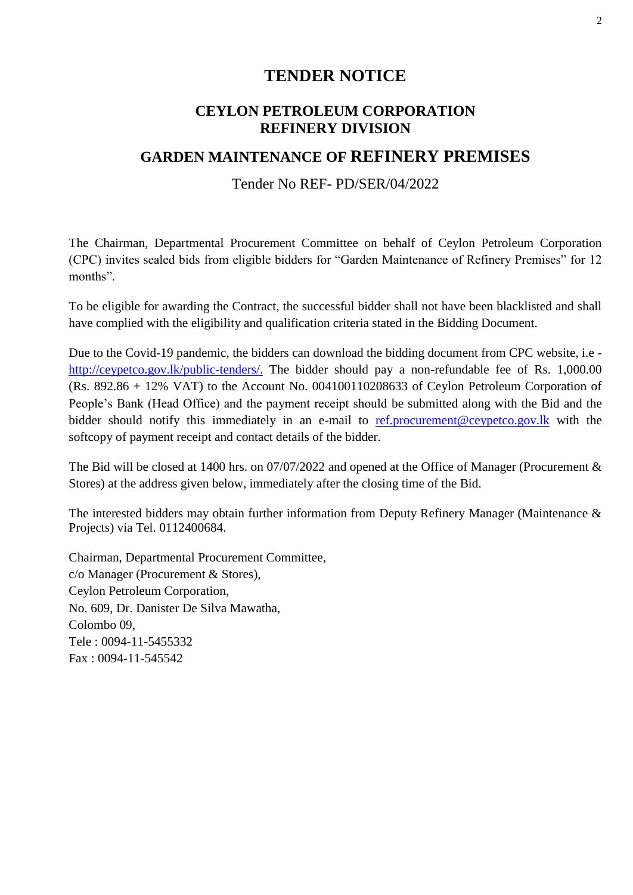# **TENDER NOTICE**

# **CEYLON PETROLEUM CORPORATION REFINERY DIVISION**

# **GARDEN MAINTENANCE OF REFINERY PREMISES**

## Tender No REF- PD/SER/04/2022

The Chairman, Departmental Procurement Committee on behalf of Ceylon Petroleum Corporation (CPC) invites sealed bids from eligible bidders for "Garden Maintenance of Refinery Premises" for 12 months".

To be eligible for awarding the Contract, the successful bidder shall not have been blacklisted and shall have complied with the eligibility and qualification criteria stated in the Bidding Document.

Due to the Covid-19 pandemic, the bidders can download the bidding document from CPC website, i.e [http://ceypetco.gov.lk/public-tenders/.](http://ceypetco.gov.lk/public-tenders/) The bidder should pay a non-refundable fee of Rs. 1,000.00 (Rs. 892.86 + 12% VAT) to the Account No. 004100110208633 of Ceylon Petroleum Corporation of People's Bank (Head Office) and the payment receipt should be submitted along with the Bid and the bidder should notify this immediately in an e-mail to [ref.procurement@ceypetco.gov.lk](mailto:ref.procurement@ceypetco.gov.lk) with the softcopy of payment receipt and contact details of the bidder.

The Bid will be closed at 1400 hrs. on 07/07/2022 and opened at the Office of Manager (Procurement & Stores) at the address given below, immediately after the closing time of the Bid.

The interested bidders may obtain further information from Deputy Refinery Manager (Maintenance & Projects) via Tel. 0112400684.

Chairman, Departmental Procurement Committee, c/o Manager (Procurement & Stores), Ceylon Petroleum Corporation, No. 609, Dr. Danister De Silva Mawatha, Colombo 09, Tele : 0094-11-5455332 Fax : 0094-11-545542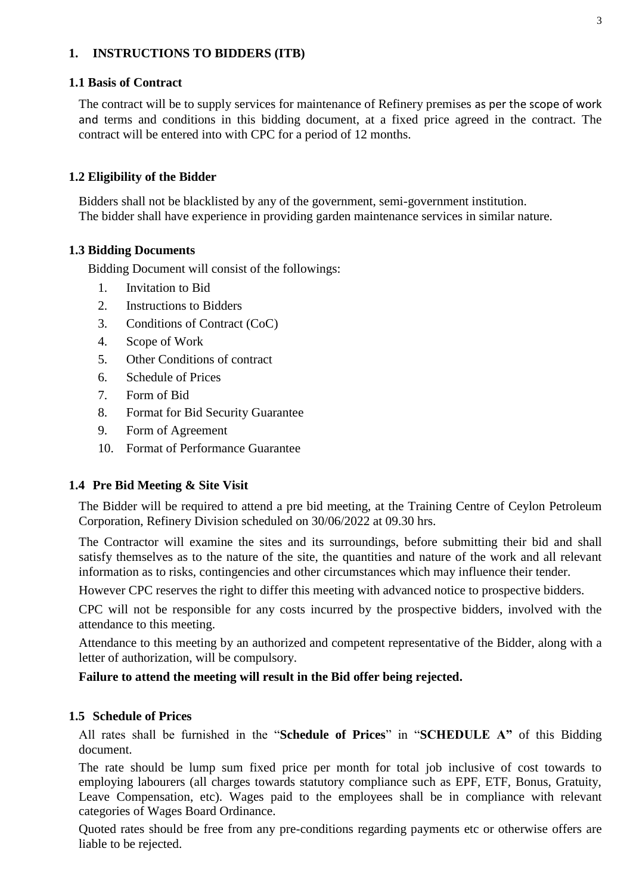## **1. INSTRUCTIONS TO BIDDERS (ITB)**

### **1.1 Basis of Contract**

The contract will be to supply services for maintenance of Refinery premises as per the scope of work and terms and conditions in this bidding document, at a fixed price agreed in the contract. The contract will be entered into with CPC for a period of 12 months.

## **1.2 Eligibility of the Bidder**

Bidders shall not be blacklisted by any of the government, semi-government institution. The bidder shall have experience in providing garden maintenance services in similar nature.

## **1.3 Bidding Documents**

Bidding Document will consist of the followings:

- 1. Invitation to Bid
- 2. Instructions to Bidders
- 3. Conditions of Contract (CoC)
- 4. Scope of Work
- 5. Other Conditions of contract
- 6. Schedule of Prices
- 7. Form of Bid
- 8. Format for Bid Security Guarantee
- 9. Form of Agreement
- 10. Format of Performance Guarantee

## **1.4 Pre Bid Meeting & Site Visit**

The Bidder will be required to attend a pre bid meeting, at the Training Centre of Ceylon Petroleum Corporation, Refinery Division scheduled on 30/06/2022 at 09.30 hrs.

The Contractor will examine the sites and its surroundings, before submitting their bid and shall satisfy themselves as to the nature of the site, the quantities and nature of the work and all relevant information as to risks, contingencies and other circumstances which may influence their tender.

However CPC reserves the right to differ this meeting with advanced notice to prospective bidders.

CPC will not be responsible for any costs incurred by the prospective bidders, involved with the attendance to this meeting.

Attendance to this meeting by an authorized and competent representative of the Bidder, along with a letter of authorization, will be compulsory.

## **Failure to attend the meeting will result in the Bid offer being rejected.**

## **1.5 Schedule of Prices**

All rates shall be furnished in the "**Schedule of Prices**" in "**SCHEDULE A"** of this Bidding document.

The rate should be lump sum fixed price per month for total job inclusive of cost towards to employing labourers (all charges towards statutory compliance such as EPF, ETF, Bonus, Gratuity, Leave Compensation, etc). Wages paid to the employees shall be in compliance with relevant categories of Wages Board Ordinance.

Quoted rates should be free from any pre-conditions regarding payments etc or otherwise offers are liable to be rejected.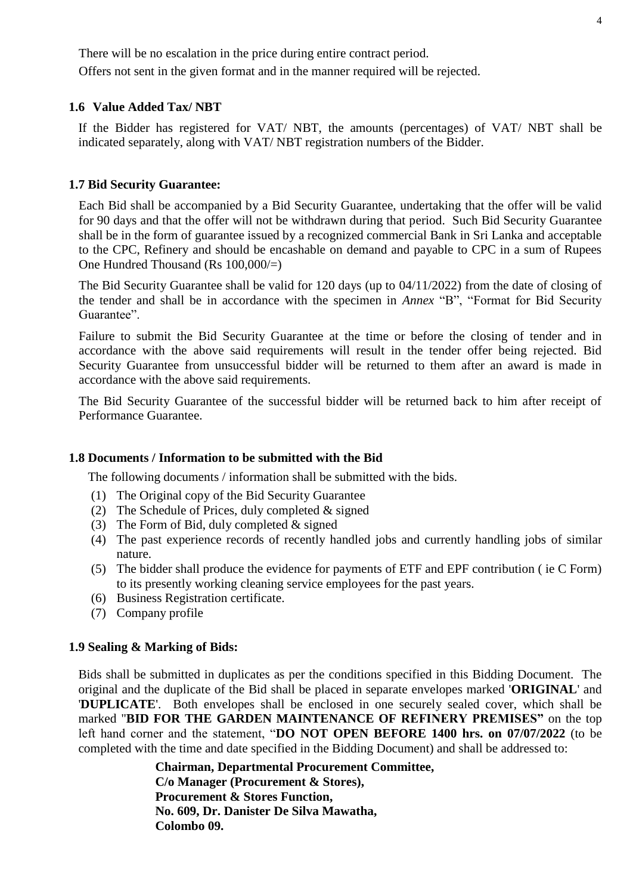There will be no escalation in the price during entire contract period. Offers not sent in the given format and in the manner required will be rejected.

## **1.6 Value Added Tax/ NBT**

If the Bidder has registered for VAT/ NBT, the amounts (percentages) of VAT/ NBT shall be indicated separately, along with VAT/ NBT registration numbers of the Bidder.

#### **1.7 Bid Security Guarantee:**

Each Bid shall be accompanied by a Bid Security Guarantee, undertaking that the offer will be valid for 90 days and that the offer will not be withdrawn during that period. Such Bid Security Guarantee shall be in the form of guarantee issued by a recognized commercial Bank in Sri Lanka and acceptable to the CPC, Refinery and should be encashable on demand and payable to CPC in a sum of Rupees One Hundred Thousand (Rs 100,000/=)

The Bid Security Guarantee shall be valid for 120 days (up to 04/11/2022) from the date of closing of the tender and shall be in accordance with the specimen in *Annex* "B", "Format for Bid Security Guarantee".

Failure to submit the Bid Security Guarantee at the time or before the closing of tender and in accordance with the above said requirements will result in the tender offer being rejected. Bid Security Guarantee from unsuccessful bidder will be returned to them after an award is made in accordance with the above said requirements.

The Bid Security Guarantee of the successful bidder will be returned back to him after receipt of Performance Guarantee.

#### **1.8 Documents / Information to be submitted with the Bid**

The following documents / information shall be submitted with the bids.

- (1) The Original copy of the Bid Security Guarantee
- (2) The Schedule of Prices, duly completed  $&$  signed
- (3) The Form of Bid, duly completed & signed
- (4) The past experience records of recently handled jobs and currently handling jobs of similar nature.
- (5) The bidder shall produce the evidence for payments of ETF and EPF contribution ( ie C Form) to its presently working cleaning service employees for the past years.
- (6) Business Registration certificate.
- (7) Company profile

#### **1.9 Sealing & Marking of Bids:**

Bids shall be submitted in duplicates as per the conditions specified in this Bidding Document. The original and the duplicate of the Bid shall be placed in separate envelopes marked '**ORIGINAL**' and '**DUPLICATE**'. Both envelopes shall be enclosed in one securely sealed cover, which shall be marked "**BID FOR THE GARDEN MAINTENANCE OF REFINERY PREMISES"** on the top left hand corner and the statement, "**DO NOT OPEN BEFORE 1400 hrs. on 07/07/2022** (to be completed with the time and date specified in the Bidding Document) and shall be addressed to:

> **Chairman, Departmental Procurement Committee, C/o Manager (Procurement & Stores), Procurement & Stores Function, No. 609, Dr. Danister De Silva Mawatha, Colombo 09.**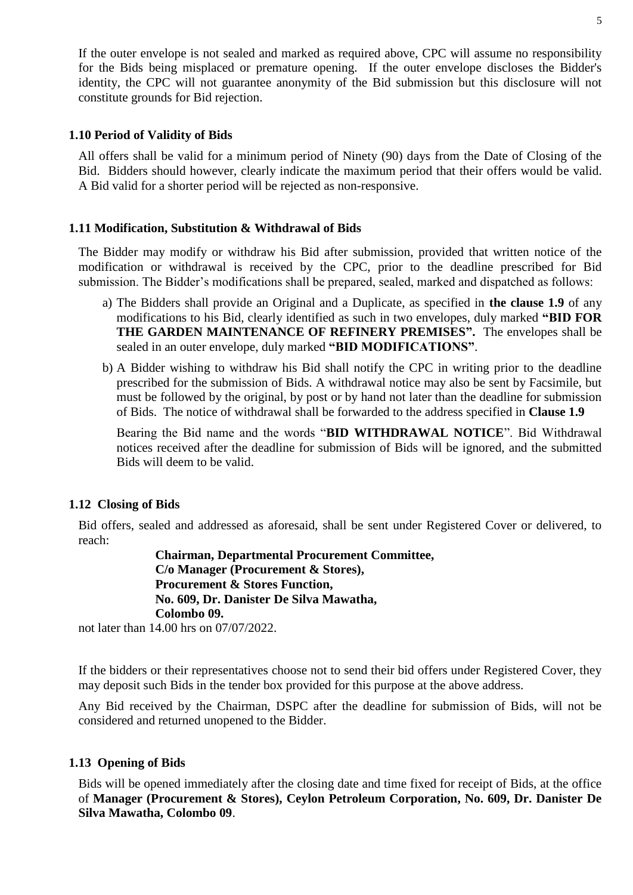If the outer envelope is not sealed and marked as required above, CPC will assume no responsibility for the Bids being misplaced or premature opening. If the outer envelope discloses the Bidder's identity, the CPC will not guarantee anonymity of the Bid submission but this disclosure will not constitute grounds for Bid rejection.

## **1.10 Period of Validity of Bids**

All offers shall be valid for a minimum period of Ninety (90) days from the Date of Closing of the Bid. Bidders should however, clearly indicate the maximum period that their offers would be valid. A Bid valid for a shorter period will be rejected as non-responsive.

## **1.11 Modification, Substitution & Withdrawal of Bids**

The Bidder may modify or withdraw his Bid after submission, provided that written notice of the modification or withdrawal is received by the CPC, prior to the deadline prescribed for Bid submission. The Bidder's modifications shall be prepared, sealed, marked and dispatched as follows:

- a) The Bidders shall provide an Original and a Duplicate, as specified in **the clause 1.9** of any modifications to his Bid, clearly identified as such in two envelopes, duly marked **"BID FOR THE GARDEN MAINTENANCE OF REFINERY PREMISES".** The envelopes shall be sealed in an outer envelope, duly marked **"BID MODIFICATIONS"**.
- b) A Bidder wishing to withdraw his Bid shall notify the CPC in writing prior to the deadline prescribed for the submission of Bids. A withdrawal notice may also be sent by Facsimile, but must be followed by the original, by post or by hand not later than the deadline for submission of Bids. The notice of withdrawal shall be forwarded to the address specified in **Clause 1.9**

Bearing the Bid name and the words "**BID WITHDRAWAL NOTICE**". Bid Withdrawal notices received after the deadline for submission of Bids will be ignored, and the submitted Bids will deem to be valid.

## **1.12 Closing of Bids**

Bid offers, sealed and addressed as aforesaid, shall be sent under Registered Cover or delivered, to reach:

> **Chairman, Departmental Procurement Committee, C/o Manager (Procurement & Stores), Procurement & Stores Function, No. 609, Dr. Danister De Silva Mawatha, Colombo 09.**

not later than 14.00 hrs on 07/07/2022.

If the bidders or their representatives choose not to send their bid offers under Registered Cover, they may deposit such Bids in the tender box provided for this purpose at the above address.

Any Bid received by the Chairman, DSPC after the deadline for submission of Bids, will not be considered and returned unopened to the Bidder.

## **1.13 Opening of Bids**

Bids will be opened immediately after the closing date and time fixed for receipt of Bids, at the office of **Manager (Procurement & Stores), Ceylon Petroleum Corporation, No. 609, Dr. Danister De Silva Mawatha, Colombo 09**.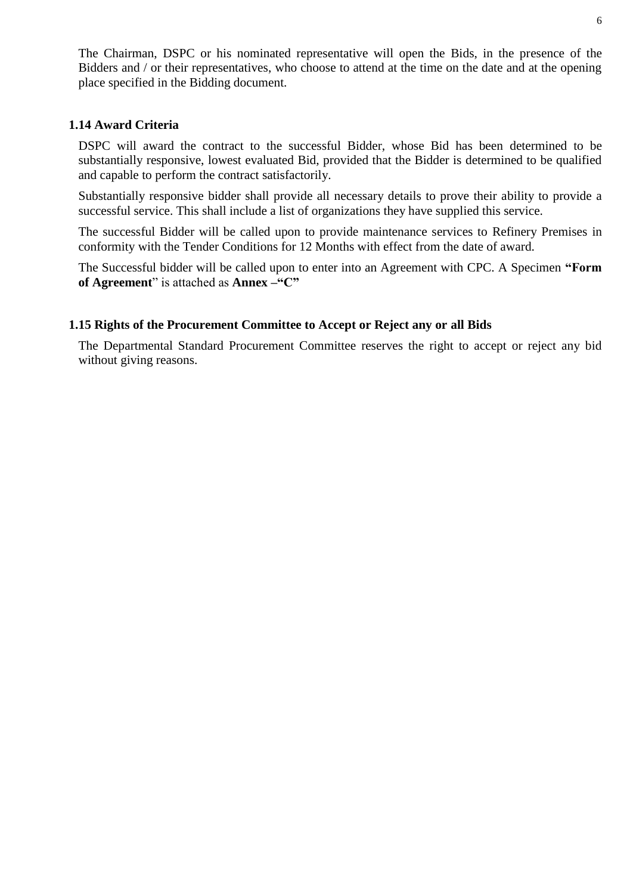The Chairman, DSPC or his nominated representative will open the Bids, in the presence of the Bidders and / or their representatives, who choose to attend at the time on the date and at the opening place specified in the Bidding document.

## **1.14 Award Criteria**

DSPC will award the contract to the successful Bidder, whose Bid has been determined to be substantially responsive, lowest evaluated Bid, provided that the Bidder is determined to be qualified and capable to perform the contract satisfactorily.

Substantially responsive bidder shall provide all necessary details to prove their ability to provide a successful service. This shall include a list of organizations they have supplied this service.

The successful Bidder will be called upon to provide maintenance services to Refinery Premises in conformity with the Tender Conditions for 12 Months with effect from the date of award.

The Successful bidder will be called upon to enter into an Agreement with CPC. A Specimen **"Form of Agreement**" is attached as **Annex –"C"**

#### **1.15 Rights of the Procurement Committee to Accept or Reject any or all Bids**

The Departmental Standard Procurement Committee reserves the right to accept or reject any bid without giving reasons.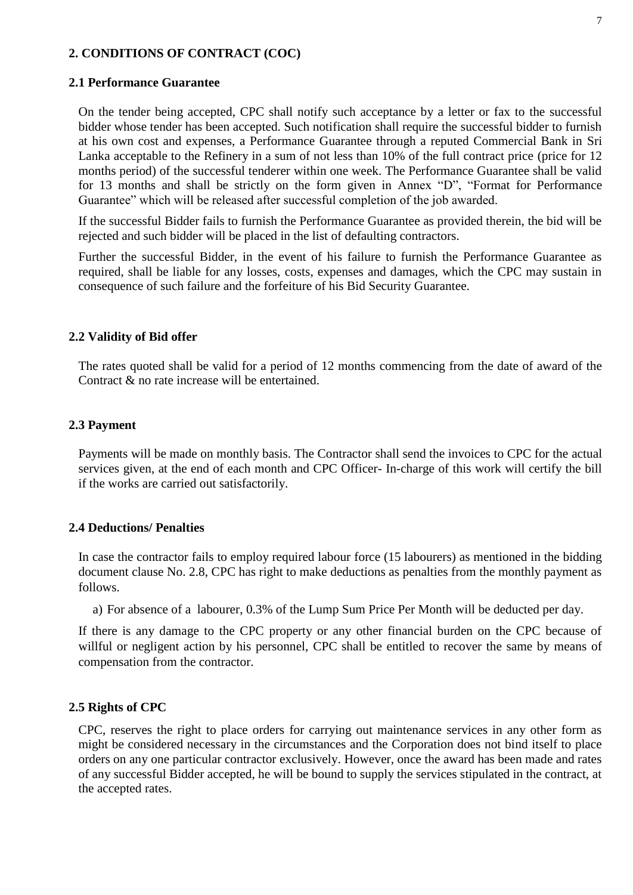## **2. CONDITIONS OF CONTRACT (COC)**

#### **2.1 Performance Guarantee**

On the tender being accepted, CPC shall notify such acceptance by a letter or fax to the successful bidder whose tender has been accepted. Such notification shall require the successful bidder to furnish at his own cost and expenses, a Performance Guarantee through a reputed Commercial Bank in Sri Lanka acceptable to the Refinery in a sum of not less than 10% of the full contract price (price for 12 months period) of the successful tenderer within one week. The Performance Guarantee shall be valid for 13 months and shall be strictly on the form given in Annex "D", "Format for Performance Guarantee" which will be released after successful completion of the job awarded.

If the successful Bidder fails to furnish the Performance Guarantee as provided therein, the bid will be rejected and such bidder will be placed in the list of defaulting contractors.

Further the successful Bidder, in the event of his failure to furnish the Performance Guarantee as required, shall be liable for any losses, costs, expenses and damages, which the CPC may sustain in consequence of such failure and the forfeiture of his Bid Security Guarantee.

#### **2.2 Validity of Bid offer**

The rates quoted shall be valid for a period of 12 months commencing from the date of award of the Contract & no rate increase will be entertained.

#### **2.3 Payment**

Payments will be made on monthly basis. The Contractor shall send the invoices to CPC for the actual services given, at the end of each month and CPC Officer- In-charge of this work will certify the bill if the works are carried out satisfactorily.

#### **2.4 Deductions/ Penalties**

In case the contractor fails to employ required labour force (15 labourers) as mentioned in the bidding document clause No. 2.8, CPC has right to make deductions as penalties from the monthly payment as follows.

a) For absence of a labourer, 0.3% of the Lump Sum Price Per Month will be deducted per day.

If there is any damage to the CPC property or any other financial burden on the CPC because of willful or negligent action by his personnel, CPC shall be entitled to recover the same by means of compensation from the contractor.

#### **2.5 Rights of CPC**

CPC, reserves the right to place orders for carrying out maintenance services in any other form as might be considered necessary in the circumstances and the Corporation does not bind itself to place orders on any one particular contractor exclusively. However, once the award has been made and rates of any successful Bidder accepted, he will be bound to supply the services stipulated in the contract, at the accepted rates.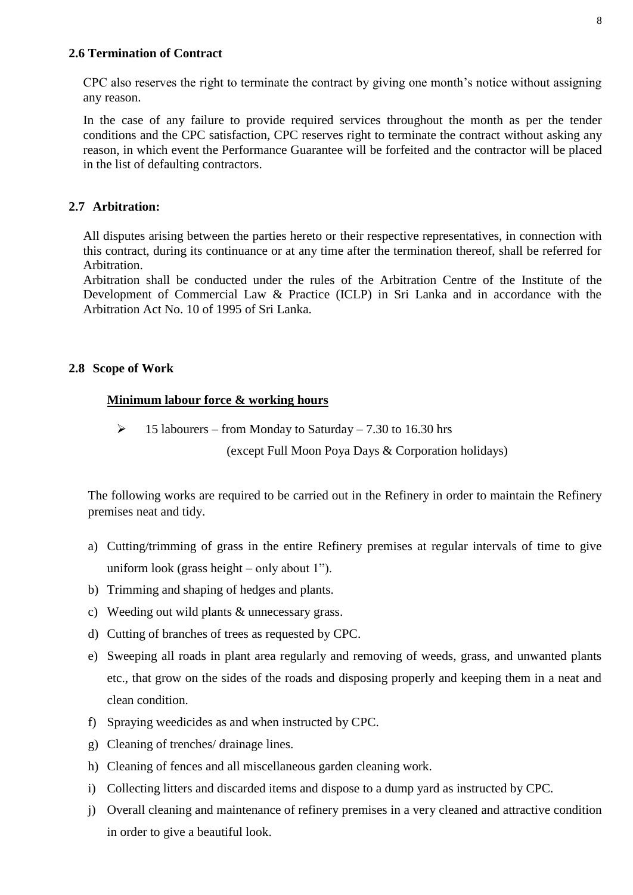## **2.6 Termination of Contract**

CPC also reserves the right to terminate the contract by giving one month's notice without assigning any reason.

In the case of any failure to provide required services throughout the month as per the tender conditions and the CPC satisfaction, CPC reserves right to terminate the contract without asking any reason, in which event the Performance Guarantee will be forfeited and the contractor will be placed in the list of defaulting contractors.

## **2.7 Arbitration:**

All disputes arising between the parties hereto or their respective representatives, in connection with this contract, during its continuance or at any time after the termination thereof, shall be referred for Arbitration.

Arbitration shall be conducted under the rules of the Arbitration Centre of the Institute of the Development of Commercial Law & Practice (ICLP) in Sri Lanka and in accordance with the Arbitration Act No. 10 of 1995 of Sri Lanka.

## **2.8 Scope of Work**

## **Minimum labour force & working hours**

 $\geq 15$  labourers – from Monday to Saturday – 7.30 to 16.30 hrs

(except Full Moon Poya Days & Corporation holidays)

The following works are required to be carried out in the Refinery in order to maintain the Refinery premises neat and tidy.

- a) Cutting/trimming of grass in the entire Refinery premises at regular intervals of time to give uniform look (grass height – only about 1").
- b) Trimming and shaping of hedges and plants.
- c) Weeding out wild plants & unnecessary grass.
- d) Cutting of branches of trees as requested by CPC.
- e) Sweeping all roads in plant area regularly and removing of weeds, grass, and unwanted plants etc., that grow on the sides of the roads and disposing properly and keeping them in a neat and clean condition.
- f) Spraying weedicides as and when instructed by CPC.
- g) Cleaning of trenches/ drainage lines.
- h) Cleaning of fences and all miscellaneous garden cleaning work.
- i) Collecting litters and discarded items and dispose to a dump yard as instructed by CPC.
- j) Overall cleaning and maintenance of refinery premises in a very cleaned and attractive condition in order to give a beautiful look.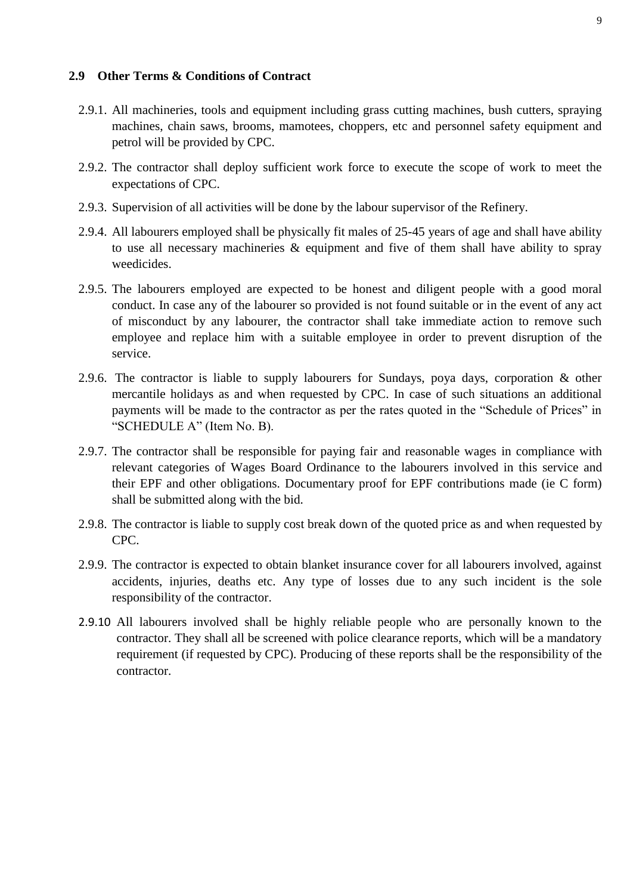### **2.9 Other Terms & Conditions of Contract**

- 2.9.1. All machineries, tools and equipment including grass cutting machines, bush cutters, spraying machines, chain saws, brooms, mamotees, choppers, etc and personnel safety equipment and petrol will be provided by CPC.
- 2.9.2. The contractor shall deploy sufficient work force to execute the scope of work to meet the expectations of CPC.
- 2.9.3. Supervision of all activities will be done by the labour supervisor of the Refinery.
- 2.9.4. All labourers employed shall be physically fit males of 25-45 years of age and shall have ability to use all necessary machineries & equipment and five of them shall have ability to spray weedicides.
- 2.9.5. The labourers employed are expected to be honest and diligent people with a good moral conduct. In case any of the labourer so provided is not found suitable or in the event of any act of misconduct by any labourer, the contractor shall take immediate action to remove such employee and replace him with a suitable employee in order to prevent disruption of the service.
- 2.9.6. The contractor is liable to supply labourers for Sundays, poya days, corporation & other mercantile holidays as and when requested by CPC. In case of such situations an additional payments will be made to the contractor as per the rates quoted in the "Schedule of Prices" in "SCHEDULE A" (Item No. B).
- 2.9.7. The contractor shall be responsible for paying fair and reasonable wages in compliance with relevant categories of Wages Board Ordinance to the labourers involved in this service and their EPF and other obligations. Documentary proof for EPF contributions made (ie C form) shall be submitted along with the bid.
- 2.9.8. The contractor is liable to supply cost break down of the quoted price as and when requested by CPC.
- 2.9.9. The contractor is expected to obtain blanket insurance cover for all labourers involved, against accidents, injuries, deaths etc. Any type of losses due to any such incident is the sole responsibility of the contractor.
- 2.9.10 All labourers involved shall be highly reliable people who are personally known to the contractor. They shall all be screened with police clearance reports, which will be a mandatory requirement (if requested by CPC). Producing of these reports shall be the responsibility of the contractor.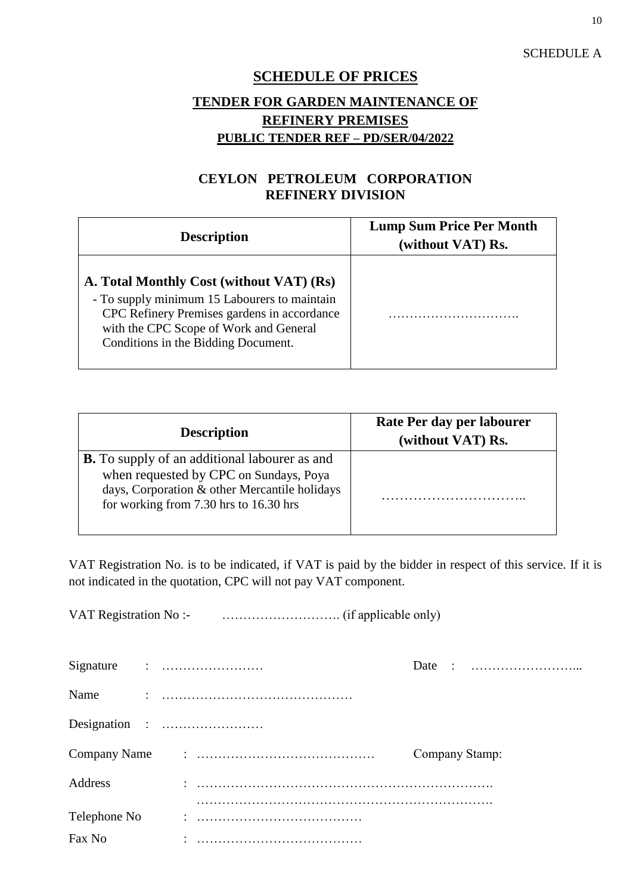## SCHEDULE A

# **SCHEDULE OF PRICES**

# **TENDER FOR GARDEN MAINTENANCE OF REFINERY PREMISES PUBLIC TENDER REF – PD/SER/04/2022**

## **CEYLON PETROLEUM CORPORATION REFINERY DIVISION**

| <b>Description</b>                                                                                                                                                                                                       | <b>Lump Sum Price Per Month</b><br>(without VAT) Rs. |  |  |  |  |  |  |  |
|--------------------------------------------------------------------------------------------------------------------------------------------------------------------------------------------------------------------------|------------------------------------------------------|--|--|--|--|--|--|--|
| A. Total Monthly Cost (without VAT) (Rs)<br>- To supply minimum 15 Labourers to maintain<br>CPC Refinery Premises gardens in accordance<br>with the CPC Scope of Work and General<br>Conditions in the Bidding Document. |                                                      |  |  |  |  |  |  |  |

| <b>Description</b>                                                                                                                                                                            | Rate Per day per labourer<br>(without VAT) Rs. |
|-----------------------------------------------------------------------------------------------------------------------------------------------------------------------------------------------|------------------------------------------------|
| <b>B.</b> To supply of an additional labourer as and<br>when requested by CPC on Sundays, Poya<br>days, Corporation & other Mercantile holidays<br>for working from $7.30$ hrs to $16.30$ hrs |                                                |

VAT Registration No. is to be indicated, if VAT is paid by the bidder in respect of this service. If it is not indicated in the quotation, CPC will not pay VAT component.

VAT Registration No :- ………………………. (if applicable only)

| Name         |  |                |
|--------------|--|----------------|
|              |  |                |
|              |  | Company Stamp: |
| Address      |  |                |
|              |  |                |
| Telephone No |  |                |
| Fax No       |  |                |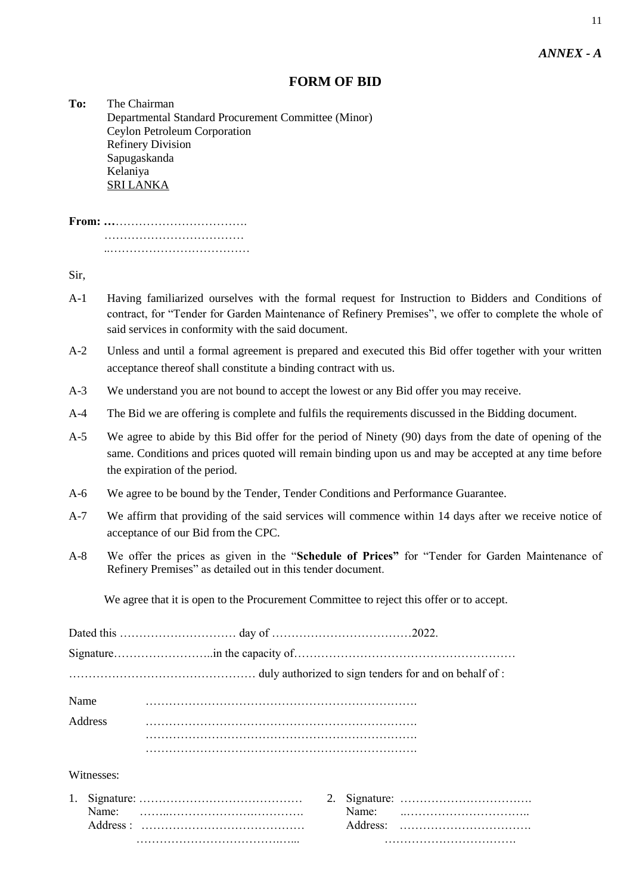## **FORM OF BID**

**To:** The Chairman Departmental Standard Procurement Committee (Minor) Ceylon Petroleum Corporation Refinery Division Sapugaskanda Kelaniya SRI LANKA

Sir,

- A-1 Having familiarized ourselves with the formal request for Instruction to Bidders and Conditions of contract, for "Tender for Garden Maintenance of Refinery Premises", we offer to complete the whole of said services in conformity with the said document.
- A-2 Unless and until a formal agreement is prepared and executed this Bid offer together with your written acceptance thereof shall constitute a binding contract with us.
- A-3 We understand you are not bound to accept the lowest or any Bid offer you may receive.
- A-4 The Bid we are offering is complete and fulfils the requirements discussed in the Bidding document.
- A-5 We agree to abide by this Bid offer for the period of Ninety (90) days from the date of opening of the same. Conditions and prices quoted will remain binding upon us and may be accepted at any time before the expiration of the period.
- A-6 We agree to be bound by the Tender, Tender Conditions and Performance Guarantee.
- A-7 We affirm that providing of the said services will commence within 14 days after we receive notice of acceptance of our Bid from the CPC.
- A-8 We offer the prices as given in the "**Schedule of Prices"** for "Tender for Garden Maintenance of Refinery Premises" as detailed out in this tender document.

We agree that it is open to the Procurement Committee to reject this offer or to accept.

|    | Name       |    |  |  |
|----|------------|----|--|--|
|    | Address    |    |  |  |
|    |            |    |  |  |
|    | Witnesses: |    |  |  |
| 1. |            | 2. |  |  |
|    |            |    |  |  |
|    |            |    |  |  |
|    |            |    |  |  |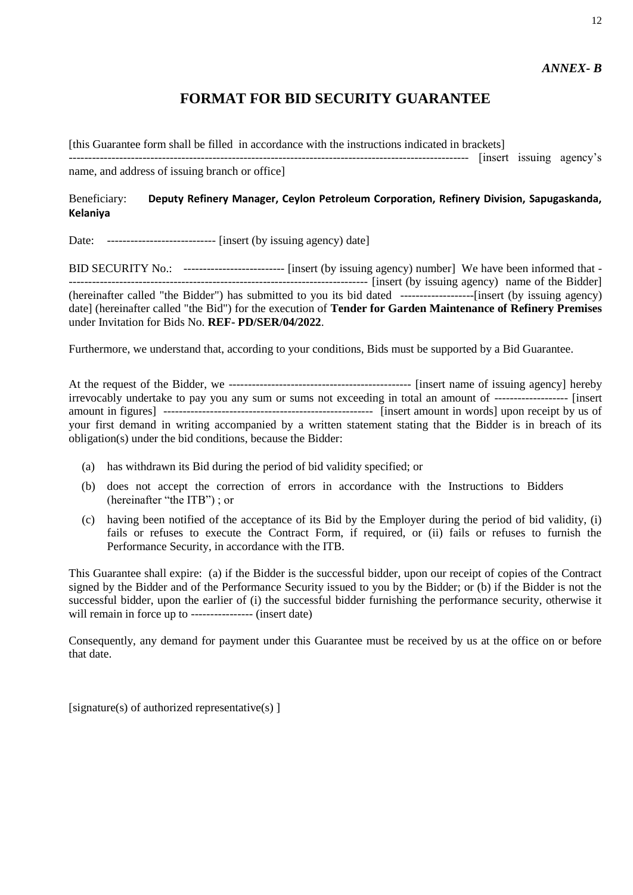12

# **FORMAT FOR BID SECURITY GUARANTEE**

[this Guarantee form shall be filled in accordance with the instructions indicated in brackets]

------------------------------------------------------------------------------------------------------- [insert issuing agency's name, and address of issuing branch or office]

## Beneficiary: **Deputy Refinery Manager, Ceylon Petroleum Corporation, Refinery Division, Sapugaskanda, Kelaniya**

Date: ---------------------------- [insert (by issuing agency) date]

BID SECURITY No.: -------------------------- [insert (by issuing agency) number] We have been informed that - ----------------------------------------------------------------------------- [insert (by issuing agency) name of the Bidder] (hereinafter called "the Bidder") has submitted to you its bid dated -------------------[insert (by issuing agency) date] (hereinafter called "the Bid") for the execution of **Tender for Garden Maintenance of Refinery Premises** under Invitation for Bids No. **REF- PD/SER/04/2022**.

Furthermore, we understand that, according to your conditions, Bids must be supported by a Bid Guarantee.

At the request of the Bidder, we ----------------------------------------------- [insert name of issuing agency] hereby irrevocably undertake to pay you any sum or sums not exceeding in total an amount of ------------------- [insert amount in figures] ------------------------------------------------------ [insert amount in words] upon receipt by us of your first demand in writing accompanied by a written statement stating that the Bidder is in breach of its obligation(s) under the bid conditions, because the Bidder:

- (a) has withdrawn its Bid during the period of bid validity specified; or
- (b) does not accept the correction of errors in accordance with the Instructions to Bidders (hereinafter "the ITB") ; or
- (c) having been notified of the acceptance of its Bid by the Employer during the period of bid validity, (i) fails or refuses to execute the Contract Form, if required, or (ii) fails or refuses to furnish the Performance Security, in accordance with the ITB.

This Guarantee shall expire: (a) if the Bidder is the successful bidder, upon our receipt of copies of the Contract signed by the Bidder and of the Performance Security issued to you by the Bidder; or (b) if the Bidder is not the successful bidder, upon the earlier of (i) the successful bidder furnishing the performance security, otherwise it will remain in force up to ---------------- (insert date)

Consequently, any demand for payment under this Guarantee must be received by us at the office on or before that date.

[signature(s) of authorized representative(s)  $\vert$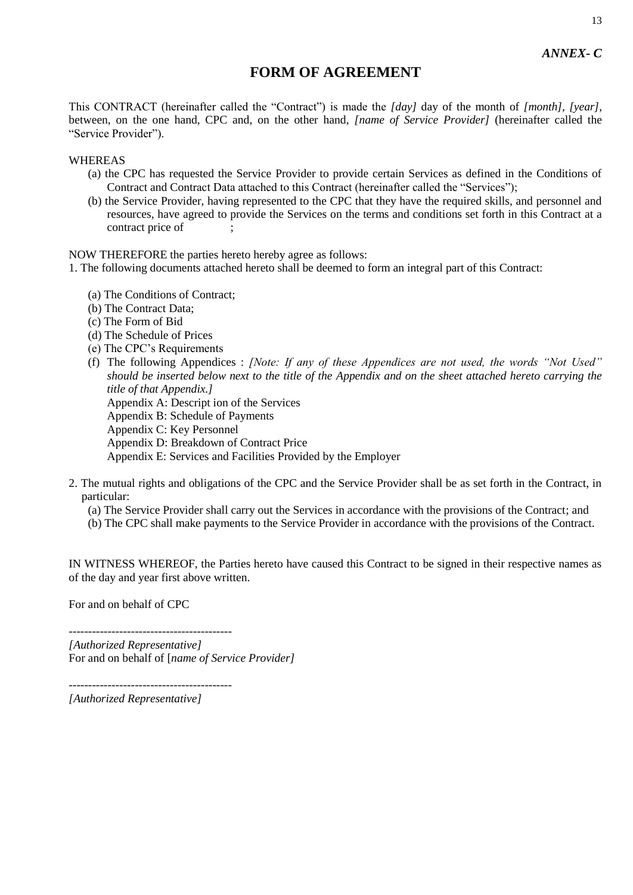# **FORM OF AGREEMENT**

This CONTRACT (hereinafter called the "Contract") is made the *[day]* day of the month of *[month], [year]*, between, on the one hand, CPC and, on the other hand, *[name of Service Provider]* (hereinafter called the "Service Provider").

#### WHEREAS

- (a) the CPC has requested the Service Provider to provide certain Services as defined in the Conditions of Contract and Contract Data attached to this Contract (hereinafter called the "Services");
- (b) the Service Provider, having represented to the CPC that they have the required skills, and personnel and resources, have agreed to provide the Services on the terms and conditions set forth in this Contract at a contract price of

NOW THEREFORE the parties hereto hereby agree as follows:

1. The following documents attached hereto shall be deemed to form an integral part of this Contract:

- (a) The Conditions of Contract;
- (b) The Contract Data;
- (c) The Form of Bid
- (d) The Schedule of Prices
- (e) The CPC's Requirements
- (f) The following Appendices : *[Note: If any of these Appendices are not used, the words "Not Used" should be inserted below next to the title of the Appendix and on the sheet attached hereto carrying the title of that Appendix.]*

Appendix A: Descript ion of the Services

Appendix B: Schedule of Payments

Appendix C: Key Personnel

Appendix D: Breakdown of Contract Price

Appendix E: Services and Facilities Provided by the Employer

2. The mutual rights and obligations of the CPC and the Service Provider shall be as set forth in the Contract, in particular:

(a) The Service Provider shall carry out the Services in accordance with the provisions of the Contract; and

(b) The CPC shall make payments to the Service Provider in accordance with the provisions of the Contract.

IN WITNESS WHEREOF, the Parties hereto have caused this Contract to be signed in their respective names as of the day and year first above written.

For and on behalf of CPC

------------------------------------------ *[Authorized Representative]* For and on behalf of [*name of Service Provider]*

------------------------------------------ *[Authorized Representative]*